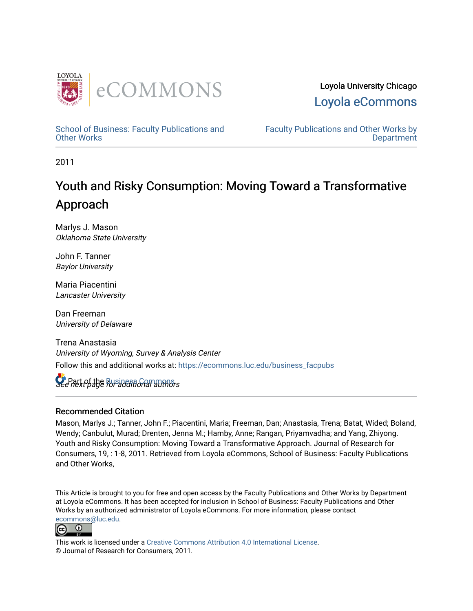

Loyola University Chicago [Loyola eCommons](https://ecommons.luc.edu/) 

[School of Business: Faculty Publications and](https://ecommons.luc.edu/business_facpubs) [Other Works](https://ecommons.luc.edu/business_facpubs)

[Faculty Publications and Other Works by](https://ecommons.luc.edu/faculty)  **Department** 

2011

# Youth and Risky Consumption: Moving Toward a Transformative Approach

Marlys J. Mason Oklahoma State University

John F. Tanner Baylor University

Maria Piacentini Lancaster University

Dan Freeman University of Delaware

Trena Anastasia University of Wyoming, Survey & Analysis Center Follow this and additional works at: [https://ecommons.luc.edu/business\\_facpubs](https://ecommons.luc.edu/business_facpubs?utm_source=ecommons.luc.edu%2Fbusiness_facpubs%2F173&utm_medium=PDF&utm_campaign=PDFCoverPages) 

See next page Fusines for an authors

#### Recommended Citation

Mason, Marlys J.; Tanner, John F.; Piacentini, Maria; Freeman, Dan; Anastasia, Trena; Batat, Wided; Boland, Wendy; Canbulut, Murad; Drenten, Jenna M.; Hamby, Anne; Rangan, Priyamvadha; and Yang, Zhiyong. Youth and Risky Consumption: Moving Toward a Transformative Approach. Journal of Research for Consumers, 19, : 1-8, 2011. Retrieved from Loyola eCommons, School of Business: Faculty Publications and Other Works,

This Article is brought to you for free and open access by the Faculty Publications and Other Works by Department at Loyola eCommons. It has been accepted for inclusion in School of Business: Faculty Publications and Other Works by an authorized administrator of Loyola eCommons. For more information, please contact [ecommons@luc.edu](mailto:ecommons@luc.edu).



This work is licensed under a [Creative Commons Attribution 4.0 International License](https://creativecommons.org/licenses/by/4.0/). © Journal of Research for Consumers, 2011.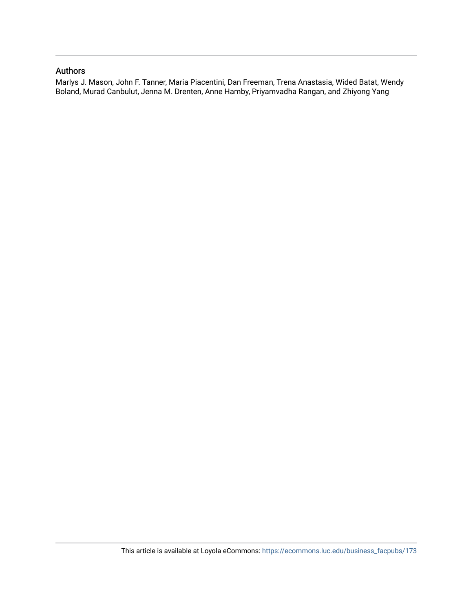#### Authors

Marlys J. Mason, John F. Tanner, Maria Piacentini, Dan Freeman, Trena Anastasia, Wided Batat, Wendy Boland, Murad Canbulut, Jenna M. Drenten, Anne Hamby, Priyamvadha Rangan, and Zhiyong Yang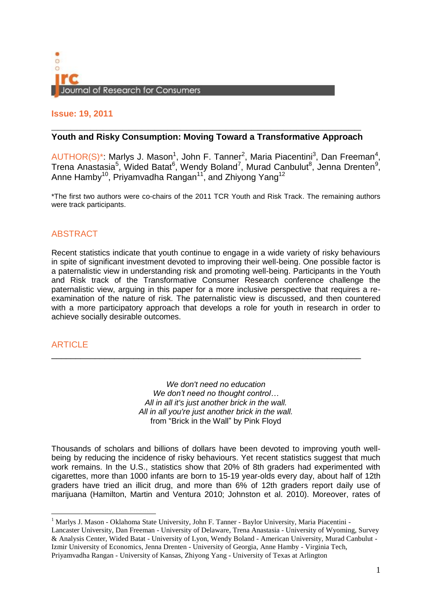

### **Issue: 19, 2011**

# **\_\_\_\_\_\_\_\_\_\_\_\_\_\_\_\_\_\_\_\_\_\_\_\_\_\_\_\_\_\_\_\_\_\_\_\_\_\_\_\_\_\_\_\_\_\_\_\_ Youth and Risky Consumption: Moving Toward a Transformative Approach**

AUTHOR(S)\*: Marlys J. Mason<sup>1</sup>, John F. Tanner<sup>2</sup>, Maria Piacentini<sup>3</sup>, Dan Freeman<sup>4</sup>, Trena Anastasia<sup>5</sup>, Wided Batat<sup>6</sup>, Wendy Boland<sup>7</sup>, Murad Canbulut<sup>8</sup>, Jenna Drenten<sup>9</sup>, Anne Hamby $^{10}$ , Priyamvadha Rangan $^{11}$ , and Zhiyong Yang $^{12}$ 

\*The first two authors were co-chairs of the 2011 TCR Youth and Risk Track. The remaining authors were track participants.

## ABSTRACT

Recent statistics indicate that youth continue to engage in a wide variety of risky behaviours in spite of significant investment devoted to improving their well-being. One possible factor is a paternalistic view in understanding risk and promoting well-being. Participants in the Youth and Risk track of the Transformative Consumer Research conference challenge the paternalistic view, arguing in this paper for a more inclusive perspective that requires a reexamination of the nature of risk. The paternalistic view is discussed, and then countered with a more participatory approach that develops a role for youth in research in order to achieve socially desirable outcomes.

## **ARTICLE**

*We don't need no education We don't need no thought control… All in all it's just another brick in the wall. All in all you're just another brick in the wall.* from "Brick in the Wall" by Pink Floyd

\_\_\_\_\_\_\_\_\_\_\_\_\_\_\_\_\_\_\_\_\_\_\_\_\_\_\_\_\_\_\_\_\_\_\_\_\_\_\_\_\_\_\_\_\_\_\_\_\_\_\_\_\_\_\_\_\_\_\_\_\_\_\_\_

Thousands of scholars and billions of dollars have been devoted to improving youth wellbeing by reducing the incidence of risky behaviours. Yet recent statistics suggest that much work remains. In the U.S., statistics show that 20% of 8th graders had experimented with cigarettes, more than 1000 infants are born to 15-19 year-olds every day, about half of 12th graders have tried an illicit drug, and more than 6% of 12th graders report daily use of marijuana (Hamilton, Martin and Ventura 2010; Johnston et al. 2010). Moreover, rates of

Priyamvadha Rangan - University of Kansas, Zhiyong Yang - University of Texas at Arlington

<sup>&</sup>lt;sup>1</sup> Marlys J. Mason - Oklahoma State University, John F. Tanner - Baylor University, Maria Piacentini -Lancaster University, Dan Freeman - University of Delaware, Trena Anastasia - University of Wyoming, Survey & Analysis Center, Wided Batat - University of Lyon, Wendy Boland - American University, Murad Canbulut - Izmir University of Economics, Jenna Drenten - University of Georgia, Anne Hamby - Virginia Tech,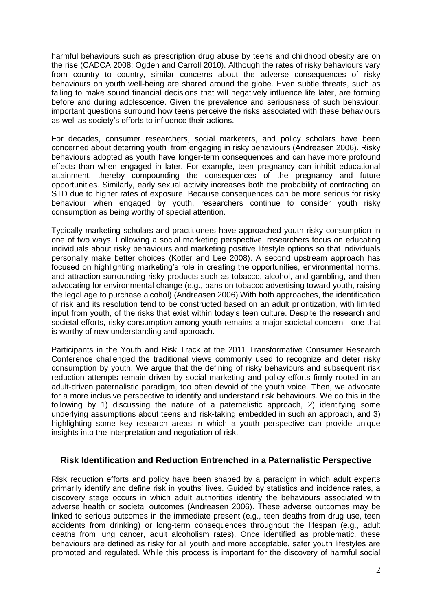harmful behaviours such as prescription drug abuse by teens and childhood obesity are on the rise (CADCA 2008; Ogden and Carroll 2010). Although the rates of risky behaviours vary from country to country, similar concerns about the adverse consequences of risky behaviours on youth well-being are shared around the globe. Even subtle threats, such as failing to make sound financial decisions that will negatively influence life later, are forming before and during adolescence. Given the prevalence and seriousness of such behaviour, important questions surround how teens perceive the risks associated with these behaviours as well as society's efforts to influence their actions.

For decades, consumer researchers, social marketers, and policy scholars have been concerned about deterring youth from engaging in risky behaviours (Andreasen 2006). Risky behaviours adopted as youth have longer-term consequences and can have more profound effects than when engaged in later. For example, teen pregnancy can inhibit educational attainment, thereby compounding the consequences of the pregnancy and future opportunities. Similarly, early sexual activity increases both the probability of contracting an STD due to higher rates of exposure. Because consequences can be more serious for risky behaviour when engaged by youth, researchers continue to consider youth risky consumption as being worthy of special attention.

Typically marketing scholars and practitioners have approached youth risky consumption in one of two ways. Following a social marketing perspective, researchers focus on educating individuals about risky behaviours and marketing positive lifestyle options so that individuals personally make better choices (Kotler and Lee 2008). A second upstream approach has focused on highlighting marketing's role in creating the opportunities, environmental norms, and attraction surrounding risky products such as tobacco, alcohol, and gambling, and then advocating for environmental change (e.g., bans on tobacco advertising toward youth, raising the legal age to purchase alcohol) (Andreasen 2006).With both approaches, the identification of risk and its resolution tend to be constructed based on an adult prioritization, with limited input from youth, of the risks that exist within today's teen culture. Despite the research and societal efforts, risky consumption among youth remains a major societal concern - one that is worthy of new understanding and approach.

Participants in the Youth and Risk Track at the 2011 Transformative Consumer Research Conference challenged the traditional views commonly used to recognize and deter risky consumption by youth. We argue that the defining of risky behaviours and subsequent risk reduction attempts remain driven by social marketing and policy efforts firmly rooted in an adult-driven paternalistic paradigm, too often devoid of the youth voice. Then, we advocate for a more inclusive perspective to identify and understand risk behaviours. We do this in the following by 1) discussing the nature of a paternalistic approach, 2) identifying some underlying assumptions about teens and risk-taking embedded in such an approach, and 3) highlighting some key research areas in which a youth perspective can provide unique insights into the interpretation and negotiation of risk.

#### **Risk Identification and Reduction Entrenched in a Paternalistic Perspective**

Risk reduction efforts and policy have been shaped by a paradigm in which adult experts primarily identify and define risk in youths' lives. Guided by statistics and incidence rates, a discovery stage occurs in which adult authorities identify the behaviours associated with adverse health or societal outcomes (Andreasen 2006). These adverse outcomes may be linked to serious outcomes in the immediate present (e.g., teen deaths from drug use, teen accidents from drinking) or long-term consequences throughout the lifespan (e.g., adult deaths from lung cancer, adult alcoholism rates). Once identified as problematic, these behaviours are defined as risky for all youth and more acceptable, safer youth lifestyles are promoted and regulated. While this process is important for the discovery of harmful social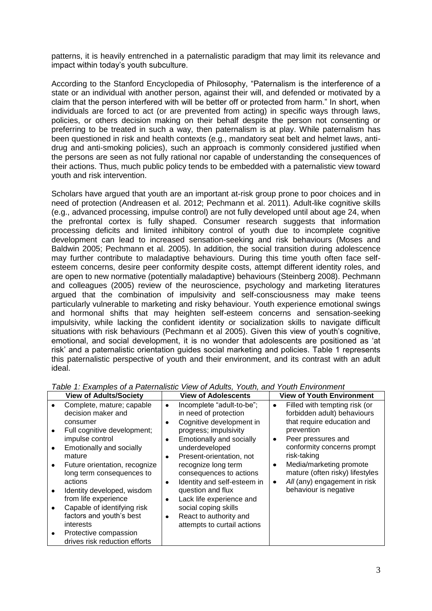patterns, it is heavily entrenched in a paternalistic paradigm that may limit its relevance and impact within today's youth subculture.

According to the Stanford Encyclopedia of Philosophy, "Paternalism is the interference of a state or an individual with another person, against their will, and defended or motivated by a claim that the person interfered with will be better off or protected from harm." In short, when individuals are forced to act (or are prevented from acting) in specific ways through laws, policies, or others decision making on their behalf despite the person not consenting or preferring to be treated in such a way, then paternalism is at play. While paternalism has been questioned in risk and health contexts (e.g., mandatory seat belt and helmet laws, antidrug and anti-smoking policies), such an approach is commonly considered justified when the persons are seen as not fully rational nor capable of understanding the consequences of their actions. Thus, much public policy tends to be embedded with a paternalistic view toward youth and risk intervention.

Scholars have argued that youth are an important at-risk group prone to poor choices and in need of protection (Andreasen et al. 2012; Pechmann et al. 2011). Adult-like cognitive skills (e.g., advanced processing, impulse control) are not fully developed until about age 24, when the prefrontal cortex is fully shaped. Consumer research suggests that information processing deficits and limited inhibitory control of youth due to incomplete cognitive development can lead to increased sensation-seeking and risk behaviours (Moses and Baldwin 2005; Pechmann et al. 2005). In addition, the social transition during adolescence may further contribute to maladaptive behaviours. During this time youth often face selfesteem concerns, desire peer conformity despite costs, attempt different identity roles, and are open to new normative (potentially maladaptive) behaviours (Steinberg 2008). Pechmann and colleagues (2005) review of the neuroscience, psychology and marketing literatures argued that the combination of impulsivity and self-consciousness may make teens particularly vulnerable to marketing and risky behaviour. Youth experience emotional swings and hormonal shifts that may heighten self-esteem concerns and sensation-seeking impulsivity, while lacking the confident identity or socialization skills to navigate difficult situations with risk behaviours (Pechmann et al 2005). Given this view of youth's cognitive, emotional, and social development, it is no wonder that adolescents are positioned as 'at risk' and a paternalistic orientation guides social marketing and policies. Table 1 represents this paternalistic perspective of youth and their environment, and its contrast with an adult ideal.

| <b>View of Adults/Society</b><br><b>View of Adolescents</b>                                                                                                                                                                                                                                                                                                                                                                                                                                                                                                                                                                                                                                                                                                                                                                                                                                    | <b>View of Youth Environment</b>                                                                                                                                                                                                                                                                                                               |
|------------------------------------------------------------------------------------------------------------------------------------------------------------------------------------------------------------------------------------------------------------------------------------------------------------------------------------------------------------------------------------------------------------------------------------------------------------------------------------------------------------------------------------------------------------------------------------------------------------------------------------------------------------------------------------------------------------------------------------------------------------------------------------------------------------------------------------------------------------------------------------------------|------------------------------------------------------------------------------------------------------------------------------------------------------------------------------------------------------------------------------------------------------------------------------------------------------------------------------------------------|
| Complete, mature; capable<br>Incomplete "adult-to-be";<br>$\bullet$<br>decision maker and<br>in need of protection<br>Cognitive development in<br>consumer<br>٠<br>progress; impulsivity<br>Full cognitive development;<br>impulse control<br>Emotionally and socially<br>٠<br>Emotionally and socially<br>underdeveloped<br>mature<br>Present-orientation, not<br>٠<br>recognize long term<br>Future orientation, recognize<br>long term consequences to<br>consequences to actions<br>actions<br>Identity and self-esteem in<br>$\bullet$<br>question and flux<br>Identity developed, wisdom<br>from life experience<br>Lack life experience and<br>$\bullet$<br>Capable of identifying risk<br>social coping skills<br>factors and youth's best<br>React to authority and<br>٠<br><i>interests</i><br>attempts to curtail actions<br>Protective compassion<br>drives risk reduction efforts | Filled with tempting risk (or<br>$\bullet$<br>forbidden adult) behaviours<br>that require education and<br>prevention<br>Peer pressures and<br>$\bullet$<br>conformity concerns prompt<br>risk-taking<br>Media/marketing promote<br>٠<br>mature (often risky) lifestyles<br>All (any) engagement in risk<br>$\bullet$<br>behaviour is negative |

*Table 1: Examples of a Paternalistic View of Adults, Youth, and Youth Environment*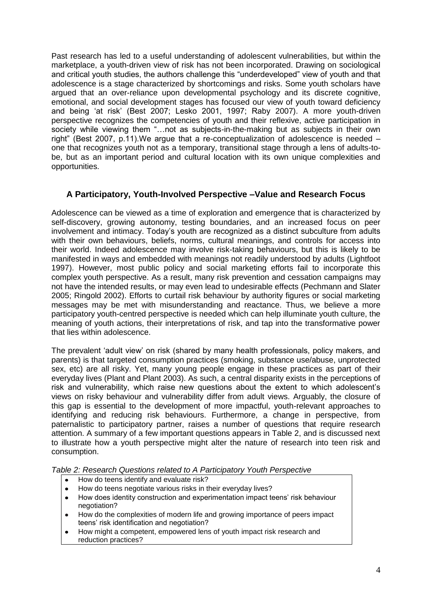Past research has led to a useful understanding of adolescent vulnerabilities, but within the marketplace, a youth-driven view of risk has not been incorporated. Drawing on sociological and critical youth studies, the authors challenge this "underdeveloped" view of youth and that adolescence is a stage characterized by shortcomings and risks. Some youth scholars have argued that an over-reliance upon developmental psychology and its discrete cognitive, emotional, and social development stages has focused our view of youth toward deficiency and being 'at risk' (Best 2007; Lesko 2001, 1997; Raby 2007). A more youth-driven perspective recognizes the competencies of youth and their reflexive, active participation in society while viewing them "…not as subjects-in-the-making but as subjects in their own right" (Best 2007, p.11).We argue that a re-conceptualization of adolescence is needed – one that recognizes youth not as a temporary, transitional stage through a lens of adults-tobe, but as an important period and cultural location with its own unique complexities and opportunities.

# **A Participatory, Youth-Involved Perspective –Value and Research Focus**

Adolescence can be viewed as a time of exploration and emergence that is characterized by self-discovery, growing autonomy, testing boundaries, and an increased focus on peer involvement and intimacy. Today's youth are recognized as a distinct subculture from adults with their own behaviours, beliefs, norms, cultural meanings, and controls for access into their world. Indeed adolescence may involve risk-taking behaviours, but this is likely to be manifested in ways and embedded with meanings not readily understood by adults (Lightfoot 1997). However, most public policy and social marketing efforts fail to incorporate this complex youth perspective. As a result, many risk prevention and cessation campaigns may not have the intended results, or may even lead to undesirable effects (Pechmann and Slater 2005; Ringold 2002). Efforts to curtail risk behaviour by authority figures or social marketing messages may be met with misunderstanding and reactance. Thus, we believe a more participatory youth-centred perspective is needed which can help illuminate youth culture, the meaning of youth actions, their interpretations of risk, and tap into the transformative power that lies within adolescence.

The prevalent 'adult view' on risk (shared by many health professionals, policy makers, and parents) is that targeted consumption practices (smoking, substance use/abuse, unprotected sex, etc) are all risky. Yet, many young people engage in these practices as part of their everyday lives (Plant and Plant 2003). As such, a central disparity exists in the perceptions of risk and vulnerability, which raise new questions about the extent to which adolescent's views on risky behaviour and vulnerability differ from adult views. Arguably, the closure of this gap is essential to the development of more impactful, youth-relevant approaches to identifying and reducing risk behaviours. Furthermore, a change in perspective, from paternalistic to participatory partner, raises a number of questions that require research attention. A summary of a few important questions appears in Table 2, and is discussed next to illustrate how a youth perspective might alter the nature of research into teen risk and consumption.

*Table 2: Research Questions related to A Participatory Youth Perspective*

- $\bullet$ How do teens identify and evaluate risk?
- How do teens negotiate various risks in their everyday lives?
- How does identity construction and experimentation impact teens' risk behaviour  $\bullet$ negotiation?
- How do the complexities of modern life and growing importance of peers impact  $\bullet$ teens' risk identification and negotiation?
- $\bullet$ How might a competent, empowered lens of youth impact risk research and reduction practices?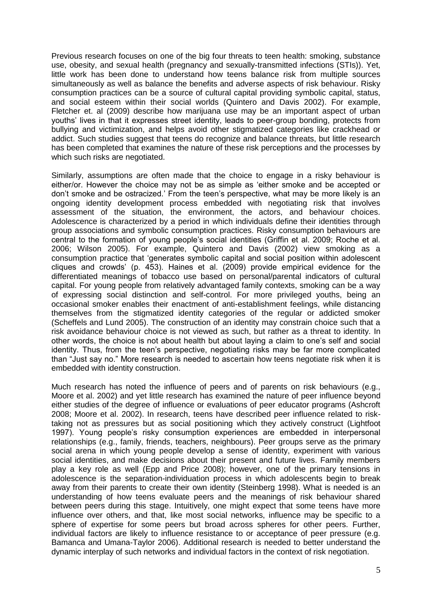Previous research focuses on one of the big four threats to teen health: smoking, substance use, obesity, and sexual health (pregnancy and sexually-transmitted infections (STIs)). Yet, little work has been done to understand how teens balance risk from multiple sources simultaneously as well as balance the benefits and adverse aspects of risk behaviour. Risky consumption practices can be a source of cultural capital providing symbolic capital, status, and social esteem within their social worlds (Quintero and Davis 2002). For example, Fletcher et. al (2009) describe how marijuana use may be an important aspect of urban youths' lives in that it expresses street identity, leads to peer-group bonding, protects from bullying and victimization, and helps avoid other stigmatized categories like crackhead or addict. Such studies suggest that teens do recognize and balance threats, but little research has been completed that examines the nature of these risk perceptions and the processes by which such risks are negotiated.

Similarly, assumptions are often made that the choice to engage in a risky behaviour is either/or. However the choice may not be as simple as 'either smoke and be accepted or don't smoke and be ostracized.' From the teen's perspective, what may be more likely is an ongoing identity development process embedded with negotiating risk that involves assessment of the situation, the environment, the actors, and behaviour choices. Adolescence is characterized by a period in which individuals define their identities through group associations and symbolic consumption practices. Risky consumption behaviours are central to the formation of young people's social identities (Griffin et al. 2009; Roche et al. 2006; Wilson 2005). For example, Quintero and Davis (2002) view smoking as a consumption practice that 'generates symbolic capital and social position within adolescent cliques and crowds' (p. 453). Haines et al. (2009) provide empirical evidence for the differentiated meanings of tobacco use based on personal/parental indicators of cultural capital. For young people from relatively advantaged family contexts, smoking can be a way of expressing social distinction and self-control. For more privileged youths, being an occasional smoker enables their enactment of anti-establishment feelings, while distancing themselves from the stigmatized identity categories of the regular or addicted smoker (Scheffels and Lund 2005). The construction of an identity may constrain choice such that a risk avoidance behaviour choice is not viewed as such, but rather as a threat to identity. In other words, the choice is not about health but about laying a claim to one's self and social identity. Thus, from the teen's perspective, negotiating risks may be far more complicated than "Just say no." More research is needed to ascertain how teens negotiate risk when it is embedded with identity construction.

Much research has noted the influence of peers and of parents on risk behaviours (e.g., Moore et al. 2002) and yet little research has examined the nature of peer influence beyond either studies of the degree of influence or evaluations of peer educator programs (Ashcroft 2008; Moore et al. 2002). In research, teens have described peer influence related to risktaking not as pressures but as social positioning which they actively construct (Lightfoot 1997). Young people's risky consumption experiences are embedded in interpersonal relationships (e.g., family, friends, teachers, neighbours). Peer groups serve as the primary social arena in which young people develop a sense of identity, experiment with various social identities, and make decisions about their present and future lives. Family members play a key role as well (Epp and Price 2008); however, one of the primary tensions in adolescence is the separation-individuation process in which adolescents begin to break away from their parents to create their own identity (Steinberg 1998). What is needed is an understanding of how teens evaluate peers and the meanings of risk behaviour shared between peers during this stage. Intuitively, one might expect that some teens have more influence over others, and that, like most social networks, influence may be specific to a sphere of expertise for some peers but broad across spheres for other peers. Further, individual factors are likely to influence resistance to or acceptance of peer pressure (e.g. Bamanca and Umana-Taylor 2006). Additional research is needed to better understand the dynamic interplay of such networks and individual factors in the context of risk negotiation.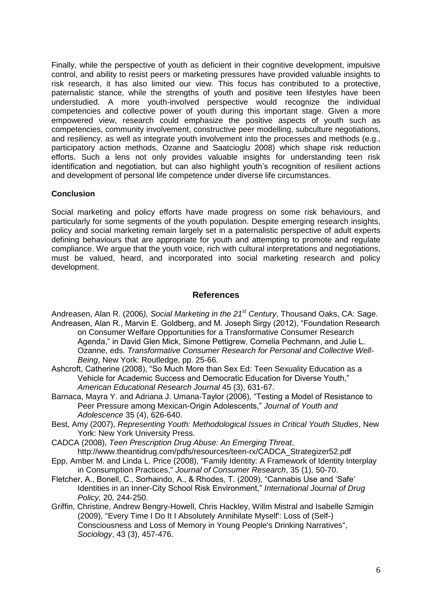Finally, while the perspective of youth as deficient in their cognitive development, impulsive control, and ability to resist peers or marketing pressures have provided valuable insights to risk research, it has also limited our view. This focus has contributed to a protective, paternalistic stance, while the strengths of youth and positive teen lifestyles have been understudied. A more youth-involved perspective would recognize the individual competencies and collective power of youth during this important stage. Given a more empowered view, research could emphasize the positive aspects of youth such as competencies, community involvement, constructive peer modelling, subculture negotiations, and resiliency, as well as integrate youth involvement into the processes and methods (e.g., participatory action methods, Ozanne and Saatcioglu 2008) which shape risk reduction efforts. Such a lens not only provides valuable insights for understanding teen risk identification and negotiation, but can also highlight youth's recognition of resilient actions and development of personal life competence under diverse life circumstances.

#### **Conclusion**

Social marketing and policy efforts have made progress on some risk behaviours, and particularly for some segments of the youth population. Despite emerging research insights, policy and social marketing remain largely set in a paternalistic perspective of adult experts defining behaviours that are appropriate for youth and attempting to promote and regulate compliance. We argue that the youth voice, rich with cultural interpretations and negotiations, must be valued, heard, and incorporated into social marketing research and policy development.

## **References**

- Andreasen, Alan R. (2006*), Social Marketing in the 21st Century*, Thousand Oaks, CA: Sage. Andreasen, Alan R., Marvin E. Goldberg, and M. Joseph Sirgy (2012), "Foundation Research on Consumer Welfare Opportunities for a Transformative Consumer Research Agenda," in David Glen Mick, Simone Pettigrew, Cornelia Pechmann, and Julie L. Ozanne, eds. *Transformative Consumer Research for Personal and Collective Well-Being*, New York: Routledge, pp. 25-66.
- Ashcroft, Catherine (2008), "So Much More than Sex Ed: Teen Sexuality Education as a Vehicle for Academic Success and Democratic Education for Diverse Youth," *American Educational Research Journal* 45 (3), 631-67.
- Barnaca, Mayra Y. and Adriana J. Umana-Taylor (2006), "Testing a Model of Resistance to Peer Pressure among Mexican-Origin Adolescents," *Journal of Youth and Adolescence* 35 (4), 626-640.
- Best, Amy (2007), *Representing Youth: Methodological Issues in Critical Youth Studies*, New York: New York University Press.
- CADCA (2008), *Teen Prescription Drug Abuse: An Emerging Threat*, http://www.theantidrug.com/pdfs/resources/teen-rx/CADCA\_Strategizer52.pdf
- Epp, Amber M. and Linda L. Price (2008), "Family Identity: A Framework of Identity Interplay in Consumption Practices," *Journal of Consumer Research*, 35 (1), 50-70.
- Fletcher, A., Bonell, C., Sorhaindo, A., & Rhodes, T. (2009), "Cannabis Use and 'Safe' Identities in an Inner-City School Risk Environment," *International Journal of Drug Policy,* 20*,* 244-250.
- Griffin, Christine, Andrew Bengry-Howell, Chris Hackley, Willm Mistral and Isabelle Szmigin (2009), "Every Time I Do It I Absolutely Annihilate Myself': Loss of (Self-) Consciousness and Loss of Memory in Young People's Drinking Narratives", *Sociology*, 43 (3), 457-476.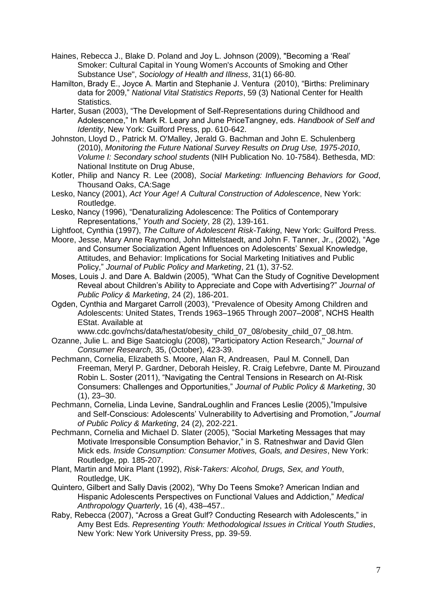- Haines, Rebecca J., Blake D. Poland and Joy L. Johnson (2009), "Becoming a 'Real' Smoker: Cultural Capital in Young Women's Accounts of Smoking and Other Substance Use", *Sociology of Health and Illness*, 31(1) 66-80.
- Hamilton, Brady E., Joyce A. Martin and Stephanie J. Ventura (2010), "Births: Preliminary data for 2009," *National Vital Statistics Reports*, 59 (3) National Center for Health Statistics.
- Harter, Susan (2003), "The Development of Self-Representations during Childhood and Adolescence," In Mark R. Leary and June PriceTangney, eds. *Handbook of Self and Identity*, New York: Guilford Press, pp. 610-642.
- Johnston, Lloyd D., Patrick M. O'Malley, Jerald G. Bachman and John E. Schulenberg (2010), *Monitoring the Future National Survey Results on Drug Use, 1975-2010*, *Volume I: Secondary school students* (NIH Publication No. 10-7584). Bethesda, MD: National Institute on Drug Abuse,
- Kotler, Philip and Nancy R. Lee (2008), *Social Marketing: Influencing Behaviors for Good*, Thousand Oaks, CA:Sage
- Lesko, Nancy (2001), *Act Your Age! A Cultural Construction of Adolescence*, New York: Routledge.
- Lesko, Nancy (1996), "Denaturalizing Adolescence: The Politics of Contemporary Representations," *Youth and Society*, 28 (2), 139-161.
- Lightfoot, Cynthia (1997), *The Culture of Adolescent Risk-Taking*, New York: Guilford Press.
- Moore, Jesse, Mary Anne Raymond, John Mittelstaedt, and John F. Tanner, Jr., (2002), "Age and Consumer Socialization Agent Influences on Adolescents' Sexual Knowledge, Attitudes, and Behavior: Implications for Social Marketing Initiatives and Public Policy," *Journal of Public Policy and Marketing*, 21 (1), 37-52.
- Moses, Louis J. and Dare A. Baldwin (2005), "What Can the Study of Cognitive Development Reveal about Children's Ability to Appreciate and Cope with Advertising?" *Journal of Public Policy & Marketing*, 24 (2), 186-201.
- Ogden, Cynthia and Margaret Carroll (2003), "Prevalence of Obesity Among Children and Adolescents: United States, Trends 1963–1965 Through 2007–2008", NCHS Health EStat. Available at
- www.cdc.gov/nchs/data/hestat/obesity\_child\_07\_08/obesity\_child\_07\_08.htm. Ozanne, Julie L. and Bige Saatcioglu (2008), "Participatory Action Research," *Journal of Consumer Research*, 35, (October), 423-39.
- Pechmann, Cornelia, Elizabeth S. Moore, Alan R, Andreasen, Paul M. Connell, Dan Freeman, Meryl P. Gardner, Deborah Heisley, R. Craig Lefebvre, Dante M. Pirouzand Robin L. Soster (2011), "Navigating the Central Tensions in Research on At-Risk Consumers: Challenges and Opportunities," *Journal of Public Policy & Marketing*, 30 (1), 23–30.
- Pechmann, Cornelia, Linda Levine, SandraLoughlin and Frances Leslie (2005),"Impulsive and Self-Conscious: Adolescents' Vulnerability to Advertising and Promotion*," Journal of Public Policy & Marketing*, 24 (2), 202-221.
- Pechmann, Cornelia and Michael D. Slater (2005), "Social Marketing Messages that may Motivate Irresponsible Consumption Behavior," in S. Ratneshwar and David Glen Mick eds. *Inside Consumption: Consumer Motives, Goals, and Desires*, New York: Routledge, pp. 185-207.
- Plant, Martin and Moira Plant (1992), *Risk-Takers: Alcohol, Drugs, Sex, and Youth*, Routledge, UK.
- Quintero, Gilbert and Sally Davis (2002), "Why Do Teens Smoke? American Indian and Hispanic Adolescents Perspectives on Functional Values and Addiction," *Medical Anthropology Quarterly*, 16 (4), 438–457..
- Raby, Rebecca (2007), "Across a Great Gulf? Conducting Research with Adolescents," in Amy Best Eds. *Representing Youth: Methodological Issues in Critical Youth Studies*, New York: New York University Press, pp. 39-59.